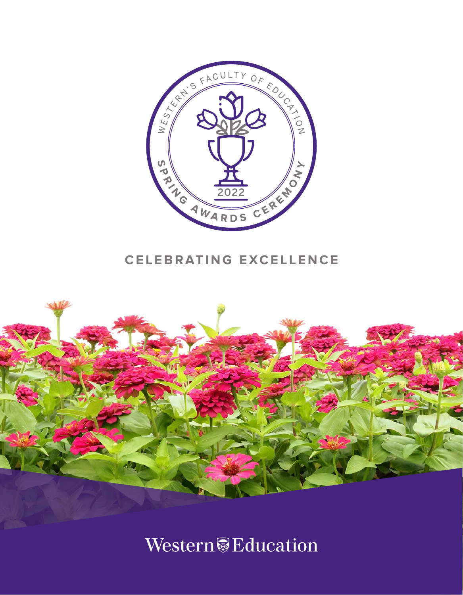

# **CELEBRATING EXCELLENCE**



Western<sup>®</sup>Education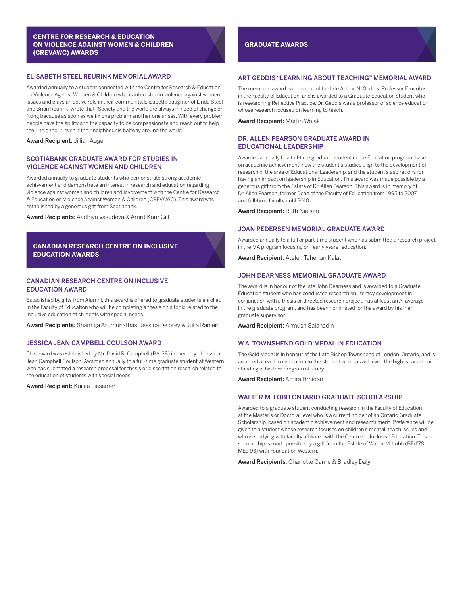# **CENTRE FOR RESEARCH & EDUCATION ON VIOLENCE AGAINST WOMEN & CHILDREN (CREVAWC) AWARDS**

# ELISABETH STEEL REURINK MEMORIAL AWARD

Awarded annually to a student connected with the Centre for Research & Education on Violence Against Women & Children who is interested in violence against women issues and plays an active role in their community. Elisabeth, daughter of Linda Steel and Brian Reurink, wrote that "Society and the world are always in need of change or fixing because as soon as we fix one problem another one arises. With every problem people have the ability and the capacity to be compassionate and reach out to help their neighbour, even if their neighbour is halfway around the world."

Award Recipient: Jillian Auger

#### SCOTIABANK GRADUATE AWARD FOR STUDIES IN VIOLENCE AGAINST WOMEN AND CHILDREN

Awarded annually to graduate students who demonstrate strong academic achievement and demonstrate an interest in research and education regarding violence against women and children and involvement with the Centre for Research & Education on Violence Against Women & Children (CREVAWC). This award was established by a generous gift from Scotiabank.

Award Recipients: Aadhiya Vasudeva & Amrit Kaur Gill

# **CANADIAN RESEARCH CENTRE ON INCLUSIVE EDUCATION AWARDS**

# CANADIAN RESEARCH CENTRE ON INCLUSIVE EDUCATION AWARD

Established by gifts from Alumni, this award is offered to graduate students enrolled in the Faculty of Education who will be completing a thesis on a topic related to the inclusive education of students with special needs.

Award Recipients: Shamiga Arumuhathas, Jessica Delorey & Julia Ranieri

# JESSICA JEAN CAMPBELL COULSON AWARD

This award was established by Mr. David R. Campbell (BA '38) in memory of Jessica Jean Campbell Coulson. Awarded annually to a full-time graduate student at Western who has submitted a research proposal for thesis or dissertation research related to the education of students with special needs.

Award Recipient: Kailee Liesemer

# **GRADUATE AWARDS**

# ART GEDDIS "LEARNING ABOUT TEACHING" MEMORIAL AWARD

The memorial award is in honour of the late Arthur N. Geddis, Professor Emeritus in the Faculty of Education, and is awarded to a Graduate Education student who is researching Reflective Practice. Dr. Geddis was a professor of science education whose research focused on learning to teach.

Award Recipient: Martin Wolak

# DR. ALLEN PEARSON GRADUATE AWARD IN EDUCATIONAL LEADERSHIP

Awarded annually to a full-time graduate student in the Education program, based on academic achievement, how the student's studies align to the development of research in the area of Educational Leadership, and the student's aspirations for having an impact on leadership in Education. This award was made possible by a generous gift from the Estate of Dr. Allen Pearson. This award is in memory of Dr. Allen Pearson, former Dean of the Faculty of Education from 1995 to 2007 and full-time faculty until 2010.

Award Recipient: Ruth Nielsen

# JOAN PEDERSEN MEMORIAL GRADUATE AWARD

Awarded annually to a full or part-time student who has submitted a research project in the MA program focusing on "early years" education.

Award Recipient: Atefeh Taherian Kalati

#### JOHN DEARNESS MEMORIAL GRADUATE AWARD

The award is in honour of the late John Dearness and is awarded to a Graduate Education student who has conducted research on literacy development in conjunction with a thesis or directed research project, has at least an A- average in the graduate program, and has been nominated for the award by his/her graduate supervisor.

Award Recipient: Armush Salahadin

# W.A. TOWNSHEND GOLD MEDAL IN EDUCATION

The Gold Medal is in honour of the Late Bishop Townshend of London, Ontario, and is awarded at each convocation to the student who has achieved the highest academic standing in his/her program of study.

Award Recipient: Amira Hmidan

# WALTER M. LOBB ONTARIO GRADUATE SCHOLARSHIP

Awarded to a graduate student conducting research in the Faculty of Education at the Master's or Doctoral level who is a current holder of an Ontario Graduate Scholarship, based on academic achievement and research merit. Preference will be given to a student whose research focuses on children's mental health issues and who is studying with faculty affiliated with the Centre for Inclusive Education. This scholarship is made possible by a gift from the Estate of Walter M. Lobb (BEd'78, MEd'93) with Foundation Western.

Award Recipients: Charlotte Carrie & Bradley Daly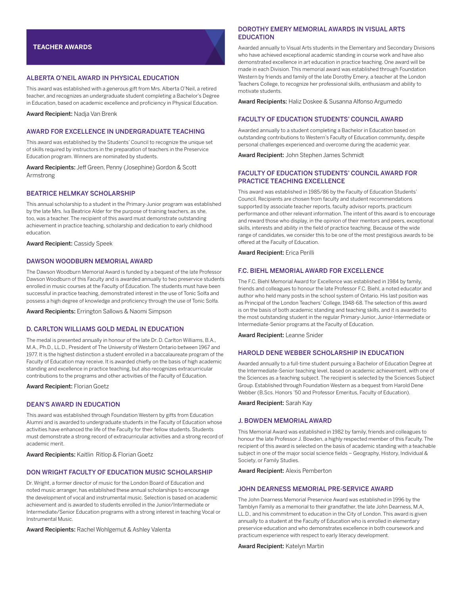# ALBERTA O'NEIL AWARD IN PHYSICAL EDUCATION

This award was established with a generous gift from Mrs. Alberta O'Neil, a retired teacher, and recognizes an undergraduate student completing a Bachelor's Degree in Education, based on academic excellence and proficiency in Physical Education.

Award Recipient: Nadja Van Brenk

#### AWARD FOR EXCELLENCE IN UNDERGRADUATE TEACHING

This award was established by the Students' Council to recognize the unique set of skills required by instructors in the preparation of teachers in the Preservice Education program. Winners are nominated by students.

Award Recipients: Jeff Green, Penny (Josephine) Gordon & Scott Armstrong

# BEATRICE HELMKAY SCHOLARSHIP

This annual scholarship to a student in the Primary-Junior program was established by the late Mrs. Iva Beatrice Alder for the purpose of training teachers, as she, too, was a teacher. The recipient of this award must demonstrate outstanding achievement in practice teaching, scholarship and dedication to early childhood education.

Award Recipient: Cassidy Speek

# DAWSON WOODBURN MEMORIAL AWARD

The Dawson Woodburn Memorial Award is funded by a bequest of the late Professor Dawson Woodburn of this Faculty and is awarded annually to two preservice students enrolled in music courses at the Faculty of Education. The students must have been successful in practice teaching, demonstrated interest in the use of Tonic Solfa and possess a high degree of knowledge and proficiency through the use of Tonic Solfa.

Award Recipients: Errington Sallows & Naomi Simpson

#### D. CARLTON WILLIAMS GOLD MEDAL IN EDUCATION

The medal is presented annually in honour of the late Dr. D. Carlton Williams, B.A., M.A., Ph.D., LL.D., President of The University of Western Ontario between 1967 and 1977. It is the highest distinction a student enrolled in a baccalaureate program of the Faculty of Education may receive. It is awarded chiefly on the basis of high academic standing and excellence in practice teaching, but also recognizes extracurricular contributions to the programs and other activities of the Faculty of Education.

Award Recipient: Florian Goetz

#### DEAN'S AWARD IN EDUCATION

This award was established through Foundation Western by gifts from Education Alumni and is awarded to undergraduate students in the Faculty of Education whose activities have enhanced the life of the Faculty for their fellow students. Students must demonstrate a strong record of extracurricular activities and a strong record of academic merit.

Award Recipients: Kaitlin Ritlop & Florian Goetz

#### DON WRIGHT FACULTY OF EDUCATION MUSIC SCHOLARSHIP

Dr. Wright, a former director of music for the London Board of Education and noted music arranger, has established these annual scholarships to encourage the development of vocal and instrumental music. Selection is based on academic achievement and is awarded to students enrolled in the Junior/Intermediate or Intermediate/Senior Education programs with a strong interest in teaching Vocal or Instrumental Music.

Award Recipients: Rachel Wohlgemut & Ashley Valenta

# DOROTHY EMERY MEMORIAL AWARDS IN VISUAL ARTS EDUCATION

Awarded annually to Visual Arts students in the Elementary and Secondary Divisions who have achieved exceptional academic standing in course work and have also demonstrated excellence in art education in practice teaching. One award will be made in each Division. This memorial award was established through Foundation Western by friends and family of the late Dorothy Emery, a teacher at the London Teachers College, to recognize her professional skills, enthusiasm and ability to motivate students.

Award Recipients: Haliz Doskee & Susanna Alfonso Argumedo

# FACULTY OF EDUCATION STUDENTS' COUNCIL AWARD

Awarded annually to a student completing a Bachelor in Education based on outstanding contributions to Western's Faculty of Education community, despite personal challenges experienced and overcome during the academic year.

Award Recipient: John Stephen James Schmidt

# FACULTY OF EDUCATION STUDENTS' COUNCIL AWARD FOR PRACTICE TEACHING EXCELLENCE

This award was established in 1985/86 by the Faculty of Education Students' Council. Recipients are chosen from faculty and student recommendations supported by associate teacher reports, faculty advisor reports, practicum performance and other relevant information. The intent of this award is to encourage and reward those who display, in the opinion of their mentors and peers, exceptional skills, interests and ability in the field of practice teaching. Because of the wide range of candidates, we consider this to be one of the most prestigious awards to be offered at the Faculty of Education.

Award Recipient: Erica Perilli

#### F.C. BIEHL MEMORIAL AWARD FOR EXCELLENCE

The F.C. Biehl Memorial Award for Excellence was established in 1984 by family, friends and colleagues to honour the late Professor F.C. Biehl, a noted educator and author who held many posts in the school system of Ontario. His last position was as Principal of the London Teachers' College, 1948-68. The selection of this award is on the basis of both academic standing and teaching skills, and it is awarded to the most outstanding student in the regular Primary-Junior, Junior-Intermediate or Intermediate-Senior programs at the Faculty of Education.

Award Recipient: Leanne Snider

# HAROLD DENE WEBBER SCHOLARSHIP IN EDUCATION

Awarded annually to a full-time student pursuing a Bachelor of Education Degree at the Intermediate-Senior teaching level, based on academic achievement, with one of the Sciences as a teaching subject. The recipient is selected by the Sciences Subject Group. Established through Foundation Western as a bequest from Harold Dene Webber (B.Scs. Honors '50 and Professor Emeritus, Faculty of Education).

Award Recipient: Sarah Kay

#### J. BOWDEN MEMORIAL AWARD

This Memorial Award was established in 1982 by family, friends and colleagues to honour the late Professor J. Bowden, a highly respected member of this Faculty. The recipient of this award is selected on the basis of academic standing with a teachable subject in one of the major social science fields – Geography, History, Individual & Society, or Family Studies.

Award Recipient: Alexis Pemberton

#### JOHN DEARNESS MEMORIAL PRE-SERVICE AWARD

The John Dearness Memorial Preservice Award was established in 1996 by the Tamblyn Family as a memorial to their grandfather, the late John Dearness, M.A, LL.D., and his commitment to education in the City of London. This award is given annually to a student at the Faculty of Education who is enrolled in elementary preservice education and who demonstrates excellence in both coursework and practicum experience with respect to early literacy development.

Award Recipient: Katelyn Martin